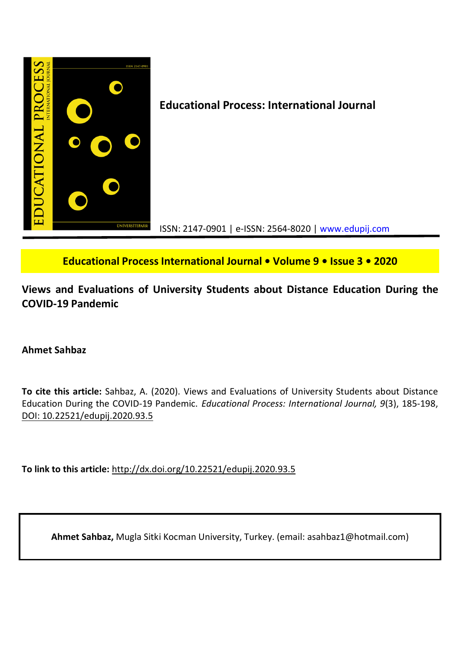

**Educational Process International Journal • Volume 9 • Issue 3 • 2020**

**Views and Evaluations of University Students about Distance Education During the COVID-19 Pandemic**

## **Ahmet Sahbaz**

**To cite this article:** Sahbaz, A. (2020). Views and Evaluations of University Students about Distance Education During the COVID-19 Pandemic. *Educational Process: International Journal, 9*(3), 185-198, DOI: 10.22521/edupij.2020.93.5

**To link to this article:** http://dx.doi.org/10.22521/edupij.2020.93.5

**Ahmet Sahbaz,** Mugla Sitki Kocman University, Turkey. (email: asahbaz1@hotmail.com)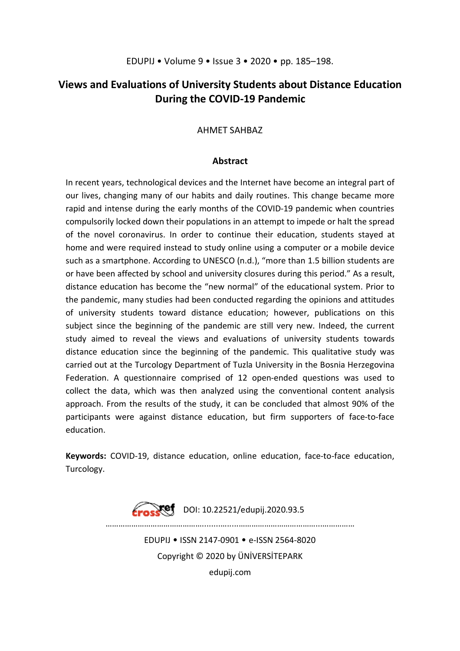# **Views and Evaluations of University Students about Distance Education During the COVID-19 Pandemic**

### AHMET SAHBAZ

### **Abstract**

In recent years, technological devices and the Internet have become an integral part of our lives, changing many of our habits and daily routines. This change became more rapid and intense during the early months of the COVID-19 pandemic when countries compulsorily locked down their populations in an attempt to impede or halt the spread of the novel coronavirus. In order to continue their education, students stayed at home and were required instead to study online using a computer or a mobile device such as a smartphone. According to UNESCO (n.d.), "more than 1.5 billion students are or have been affected by school and university closures during this period." As a result, distance education has become the "new normal" of the educational system. Prior to the pandemic, many studies had been conducted regarding the opinions and attitudes of university students toward distance education; however, publications on this subject since the beginning of the pandemic are still very new. Indeed, the current study aimed to reveal the views and evaluations of university students towards distance education since the beginning of the pandemic. This qualitative study was carried out at the Turcology Department of Tuzla University in the Bosnia Herzegovina Federation. A questionnaire comprised of 12 open-ended questions was used to collect the data, which was then analyzed using the conventional content analysis approach. From the results of the study, it can be concluded that almost 90% of the participants were against distance education, but firm supporters of face-to-face education.

**Keywords:** COVID-19, distance education, online education, face-to-face education, Turcology.

> $\sqrt{9}$  DOI: 10.22521/edupij.2020.93.5 ……………………………………………………………………………… EDUPIJ • ISSN 2147-0901 • e-ISSN 2564-8020 Copyright © 2020 by ÜNİVERSİTEPARK edupij.com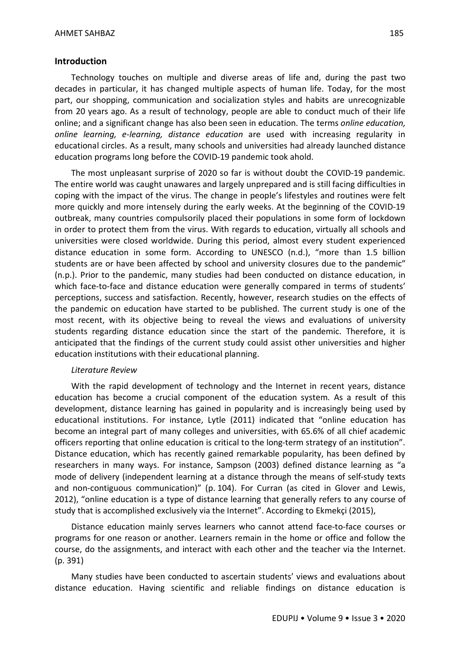### **Introduction**

Technology touches on multiple and diverse areas of life and, during the past two decades in particular, it has changed multiple aspects of human life. Today, for the most part, our shopping, communication and socialization styles and habits are unrecognizable from 20 years ago. As a result of technology, people are able to conduct much of their life online; and a significant change has also been seen in education. The terms *online education, online learning, e-learning, distance education* are used with increasing regularity in educational circles. As a result, many schools and universities had already launched distance education programs long before the COVID-19 pandemic took ahold.

The most unpleasant surprise of 2020 so far is without doubt the COVID-19 pandemic. The entire world was caught unawares and largely unprepared and is still facing difficulties in coping with the impact of the virus. The change in people's lifestyles and routines were felt more quickly and more intensely during the early weeks. At the beginning of the COVID-19 outbreak, many countries compulsorily placed their populations in some form of lockdown in order to protect them from the virus. With regards to education, virtually all schools and universities were closed worldwide. During this period, almost every student experienced distance education in some form. According to UNESCO (n.d.), "more than 1.5 billion students are or have been affected by school and university closures due to the pandemic" (n.p.). Prior to the pandemic, many studies had been conducted on distance education, in which face-to-face and distance education were generally compared in terms of students' perceptions, success and satisfaction. Recently, however, research studies on the effects of the pandemic on education have started to be published. The current study is one of the most recent, with its objective being to reveal the views and evaluations of university students regarding distance education since the start of the pandemic. Therefore, it is anticipated that the findings of the current study could assist other universities and higher education institutions with their educational planning.

### *Literature Review*

With the rapid development of technology and the Internet in recent years, distance education has become a crucial component of the education system. As a result of this development, distance learning has gained in popularity and is increasingly being used by educational institutions. For instance, Lytle (2011) indicated that "online education has become an integral part of many colleges and universities, with 65.6% of all chief academic officers reporting that online education is critical to the long-term strategy of an institution". Distance education, which has recently gained remarkable popularity, has been defined by researchers in many ways. For instance, Sampson (2003) defined distance learning as "a mode of delivery (independent learning at a distance through the means of self-study texts and non-contiguous communication)" (p. 104). For Curran (as cited in Glover and Lewis, 2012), "online education is a type of distance learning that generally refers to any course of study that is accomplished exclusively via the Internet". According to Ekmekçi (2015),

Distance education mainly serves learners who cannot attend face-to-face courses or programs for one reason or another. Learners remain in the home or office and follow the course, do the assignments, and interact with each other and the teacher via the Internet. (p. 391)

Many studies have been conducted to ascertain students' views and evaluations about distance education. Having scientific and reliable findings on distance education is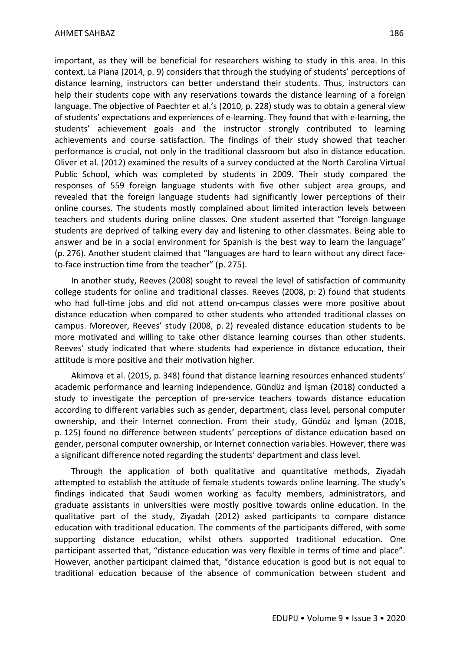important, as they will be beneficial for researchers wishing to study in this area. In this context, La Piana (2014, p. 9) considers that through the studying of students' perceptions of distance learning, instructors can better understand their students. Thus, instructors can help their students cope with any reservations towards the distance learning of a foreign language. The objective of Paechter et al.'s (2010, p. 228) study was to obtain a general view of students' expectations and experiences of e-learning. They found that with e-learning, the students' achievement goals and the instructor strongly contributed to learning achievements and course satisfaction. The findings of their study showed that teacher performance is crucial, not only in the traditional classroom but also in distance education. Oliver et al. (2012) examined the results of a survey conducted at the North Carolina Virtual Public School, which was completed by students in 2009. Their study compared the responses of 559 foreign language students with five other subject area groups, and revealed that the foreign language students had significantly lower perceptions of their online courses. The students mostly complained about limited interaction levels between teachers and students during online classes. One student asserted that "foreign language students are deprived of talking every day and listening to other classmates. Being able to answer and be in a social environment for Spanish is the best way to learn the language" (p. 276). Another student claimed that "languages are hard to learn without any direct faceto-face instruction time from the teacher" (p. 275).

In another study, Reeves (2008) sought to reveal the level of satisfaction of community college students for online and traditional classes. Reeves (2008, p: 2) found that students who had full-time jobs and did not attend on-campus classes were more positive about distance education when compared to other students who attended traditional classes on campus. Moreover, Reeves' study (2008, p. 2) revealed distance education students to be more motivated and willing to take other distance learning courses than other students. Reeves' study indicated that where students had experience in distance education, their attitude is more positive and their motivation higher.

Akimova et al. (2015, p. 348) found that distance learning resources enhanced students' academic performance and learning independence. Gündüz and İşman (2018) conducted a study to investigate the perception of pre-service teachers towards distance education according to different variables such as gender, department, class level, personal computer ownership, and their Internet connection. From their study, Gündüz and İşman (2018, p. 125) found no difference between students' perceptions of distance education based on gender, personal computer ownership, or Internet connection variables. However, there was a significant difference noted regarding the students' department and class level.

Through the application of both qualitative and quantitative methods, Ziyadah attempted to establish the attitude of female students towards online learning. The study's findings indicated that Saudi women working as faculty members, administrators, and graduate assistants in universities were mostly positive towards online education. In the qualitative part of the study, Ziyadah (2012) asked participants to compare distance education with traditional education. The comments of the participants differed, with some supporting distance education, whilst others supported traditional education. One participant asserted that, "distance education was very flexible in terms of time and place". However, another participant claimed that, "distance education is good but is not equal to traditional education because of the absence of communication between student and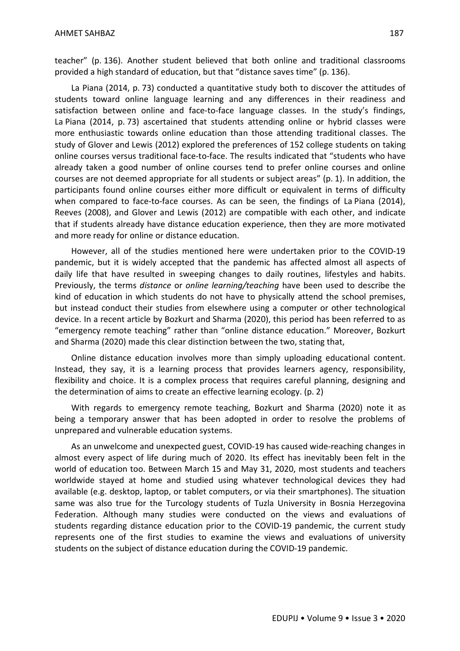teacher" (p. 136). Another student believed that both online and traditional classrooms provided a high standard of education, but that "distance saves time" (p. 136).

La Piana (2014, p. 73) conducted a quantitative study both to discover the attitudes of students toward online language learning and any differences in their readiness and satisfaction between online and face-to-face language classes. In the study's findings, La Piana (2014, p. 73) ascertained that students attending online or hybrid classes were more enthusiastic towards online education than those attending traditional classes. The study of Glover and Lewis (2012) explored the preferences of 152 college students on taking online courses versus traditional face-to-face. The results indicated that "students who have already taken a good number of online courses tend to prefer online courses and online courses are not deemed appropriate for all students or subject areas" (p. 1). In addition, the participants found online courses either more difficult or equivalent in terms of difficulty when compared to face-to-face courses. As can be seen, the findings of La Piana (2014), Reeves (2008), and Glover and Lewis (2012) are compatible with each other, and indicate that if students already have distance education experience, then they are more motivated and more ready for online or distance education.

However, all of the studies mentioned here were undertaken prior to the COVID-19 pandemic, but it is widely accepted that the pandemic has affected almost all aspects of daily life that have resulted in sweeping changes to daily routines, lifestyles and habits. Previously, the terms *distance* or *online learning/teaching* have been used to describe the kind of education in which students do not have to physically attend the school premises, but instead conduct their studies from elsewhere using a computer or other technological device. In a recent article by Bozkurt and Sharma (2020), this period has been referred to as "emergency remote teaching" rather than "online distance education." Moreover, Bozkurt and Sharma (2020) made this clear distinction between the two, stating that,

Online distance education involves more than simply uploading educational content. Instead, they say, it is a learning process that provides learners agency, responsibility, flexibility and choice. It is a complex process that requires careful planning, designing and the determination of aims to create an effective learning ecology. (p. 2)

With regards to emergency remote teaching, Bozkurt and Sharma (2020) note it as being a temporary answer that has been adopted in order to resolve the problems of unprepared and vulnerable education systems.

As an unwelcome and unexpected guest, COVID-19 has caused wide-reaching changes in almost every aspect of life during much of 2020. Its effect has inevitably been felt in the world of education too. Between March 15 and May 31, 2020, most students and teachers worldwide stayed at home and studied using whatever technological devices they had available (e.g. desktop, laptop, or tablet computers, or via their smartphones). The situation same was also true for the Turcology students of Tuzla University in Bosnia Herzegovina Federation. Although many studies were conducted on the views and evaluations of students regarding distance education prior to the COVID-19 pandemic, the current study represents one of the first studies to examine the views and evaluations of university students on the subject of distance education during the COVID-19 pandemic.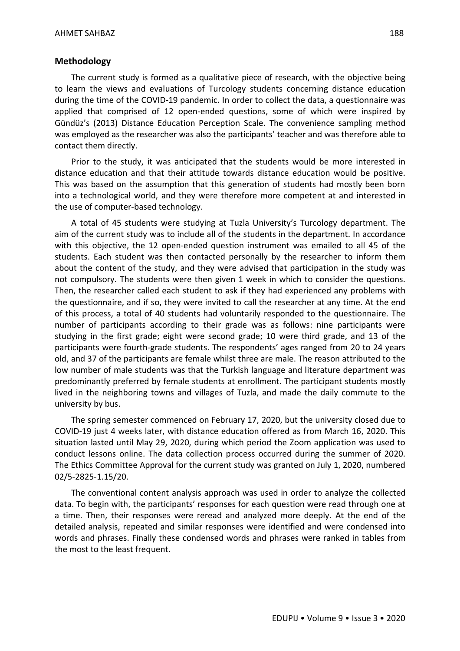#### **Methodology**

The current study is formed as a qualitative piece of research, with the objective being to learn the views and evaluations of Turcology students concerning distance education during the time of the COVID-19 pandemic. In order to collect the data, a questionnaire was applied that comprised of 12 open-ended questions, some of which were inspired by Gündüz's (2013) Distance Education Perception Scale. The convenience sampling method was employed as the researcher was also the participants' teacher and was therefore able to contact them directly.

Prior to the study, it was anticipated that the students would be more interested in distance education and that their attitude towards distance education would be positive. This was based on the assumption that this generation of students had mostly been born into a technological world, and they were therefore more competent at and interested in the use of computer-based technology.

A total of 45 students were studying at Tuzla University's Turcology department. The aim of the current study was to include all of the students in the department. In accordance with this objective, the 12 open-ended question instrument was emailed to all 45 of the students. Each student was then contacted personally by the researcher to inform them about the content of the study, and they were advised that participation in the study was not compulsory. The students were then given 1 week in which to consider the questions. Then, the researcher called each student to ask if they had experienced any problems with the questionnaire, and if so, they were invited to call the researcher at any time. At the end of this process, a total of 40 students had voluntarily responded to the questionnaire. The number of participants according to their grade was as follows: nine participants were studying in the first grade; eight were second grade; 10 were third grade, and 13 of the participants were fourth-grade students. The respondents' ages ranged from 20 to 24 years old, and 37 of the participants are female whilst three are male. The reason attributed to the low number of male students was that the Turkish language and literature department was predominantly preferred by female students at enrollment. The participant students mostly lived in the neighboring towns and villages of Tuzla, and made the daily commute to the university by bus.

The spring semester commenced on February 17, 2020, but the university closed due to COVID-19 just 4 weeks later, with distance education offered as from March 16, 2020. This situation lasted until May 29, 2020, during which period the Zoom application was used to conduct lessons online. The data collection process occurred during the summer of 2020. The Ethics Committee Approval for the current study was granted on July 1, 2020, numbered 02/5-2825-1.15/20.

The conventional content analysis approach was used in order to analyze the collected data. To begin with, the participants' responses for each question were read through one at a time. Then, their responses were reread and analyzed more deeply. At the end of the detailed analysis, repeated and similar responses were identified and were condensed into words and phrases. Finally these condensed words and phrases were ranked in tables from the most to the least frequent.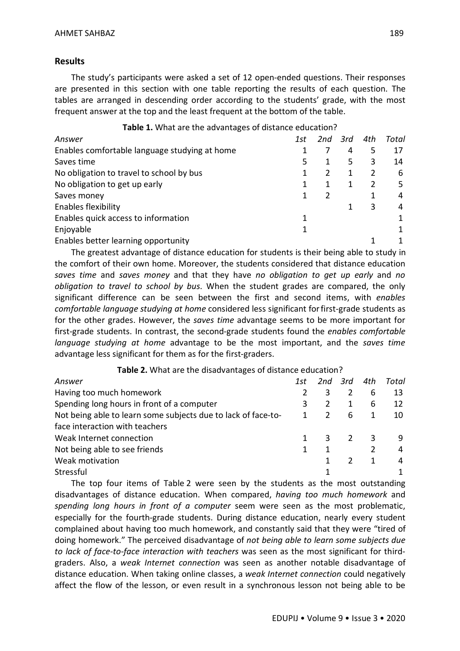## **Results**

The study's participants were asked a set of 12 open-ended questions. Their responses are presented in this section with one table reporting the results of each question. The tables are arranged in descending order according to the students' grade, with the most frequent answer at the top and the least frequent at the bottom of the table.

| Answer                                        | 1st | 2nd | 3rd | 4th | Total |
|-----------------------------------------------|-----|-----|-----|-----|-------|
| Enables comfortable language studying at home |     |     | 4   | 5   | 17    |
| Saves time                                    | 5   |     | 5.  | 3   | 14    |
| No obligation to travel to school by bus      |     | 2   |     |     | 6     |
| No obligation to get up early                 |     |     |     | 2   | 5     |
| Saves money                                   |     | 2   |     |     | 4     |
| <b>Enables flexibility</b>                    |     |     |     | 3   | 4     |
| Enables quick access to information           |     |     |     |     |       |
| Enjoyable                                     |     |     |     |     |       |
| Enables better learning opportunity           |     |     |     |     |       |

The greatest advantage of distance education for students is their being able to study in the comfort of their own home. Moreover, the students considered that distance education *saves time* and *saves money* and that they have *no obligation to get up early* and *no obligation to travel to school by bus*. When the student grades are compared, the only significant difference can be seen between the first and second items, with *enables comfortable language studying at home* considered less significant forfirst-grade students as for the other grades. However, the *saves time* advantage seems to be more important for first-grade students. In contrast, the second-grade students found the *enables comfortable language studying at home* advantage to be the most important, and the *saves time*  advantage less significant for them as for the first-graders.

**Table 2.** What are the disadvantages of distance education?

| Answer                                                        | 1st | 2nd | 3rd | 4th | Total |
|---------------------------------------------------------------|-----|-----|-----|-----|-------|
| Having too much homework                                      |     | 3   |     | 6   | 13    |
| Spending long hours in front of a computer                    |     |     |     | 6   | 12    |
| Not being able to learn some subjects due to lack of face-to- | 1   | 2   | 6   |     | 10    |
| face interaction with teachers                                |     |     |     |     |       |
| Weak Internet connection                                      |     | 3   | 2   | 3   | q     |
| Not being able to see friends                                 |     |     |     |     | 4     |
| Weak motivation                                               |     |     |     |     | 4     |
| Stressful                                                     |     |     |     |     |       |

The top four items of Table 2 were seen by the students as the most outstanding disadvantages of distance education. When compared, *having too much homework* and *spending long hours in front of a computer* seem were seen as the most problematic, especially for the fourth-grade students. During distance education, nearly every student complained about having too much homework, and constantly said that they were "tired of doing homework." The perceived disadvantage of *not being able to learn some subjects due to lack of face-to-face interaction with teachers* was seen as the most significant for thirdgraders. Also, a *weak Internet connection* was seen as another notable disadvantage of distance education. When taking online classes, a *weak Internet connection* could negatively affect the flow of the lesson, or even result in a synchronous lesson not being able to be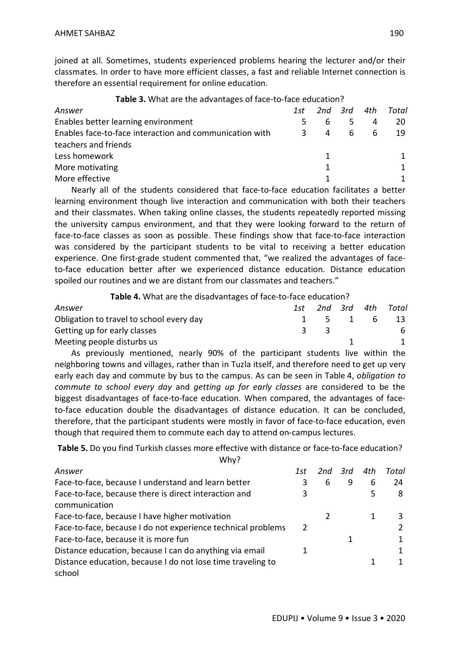joined at all. Sometimes, students experienced problems hearing the lecturer and/or their classmates. In order to have more efficient classes, a fast and reliable Internet connection is therefore an essential requirement for online education.

| Answer                                                  | 1st |    | 2nd 3rd | 4th | Total |
|---------------------------------------------------------|-----|----|---------|-----|-------|
| Enables better learning environment                     |     | 6. |         | 4   | 20.   |
| Enables face-to-face interaction and communication with |     | 4  | 6       | - 6 | -19   |
| teachers and friends                                    |     |    |         |     |       |
| Less homework                                           |     |    |         |     |       |
| More motivating                                         |     | 1. |         |     |       |
| More effective                                          |     |    |         |     |       |
|                                                         |     |    |         |     |       |

**Table 3.** What are the advantages of face-to-face education?

Nearly all of the students considered that face-to-face education facilitates a better learning environment though live interaction and communication with both their teachers and their classmates. When taking online classes, the students repeatedly reported missing the university campus environment, and that they were looking forward to the return of face-to-face classes as soon as possible. These findings show that face-to-face interaction was considered by the participant students to be vital to receiving a better education experience. One first-grade student commented that, "we realized the advantages of faceto-face education better after we experienced distance education. Distance education spoiled our routines and we are distant from our classmates and teachers."

**Table 4.** What are the disadvantages of face-to-face education?

| Answer                                   | 1st |         |  | 2nd 3rd 4th Total |
|------------------------------------------|-----|---------|--|-------------------|
| Obligation to travel to school every day |     | 1 5 1 6 |  | -13-              |
| Getting up for early classes             |     |         |  | 6                 |
| Meeting people disturbs us               |     |         |  |                   |

As previously mentioned, nearly 90% of the participant students live within the neighboring towns and villages, rather than in Tuzla itself, and therefore need to get up very early each day and commute by bus to the campus. As can be seen in Table 4, *obligation to commute to school every day* and *getting up for early classes* are considered to be the biggest disadvantages of face-to-face education. When compared, the advantages of faceto-face education double the disadvantages of distance education. It can be concluded, therefore, that the participant students were mostly in favor of face-to-face education, even though that required them to commute each day to attend on-campus lectures.

**Table 5.** Do you find Turkish classes more effective with distance or face-to-face education? Why?

| Answer                                                       | 1st | $2nd$ $3rd$ |   | 4th | Total |
|--------------------------------------------------------------|-----|-------------|---|-----|-------|
| Face-to-face, because I understand and learn better          | 3   | 6           | 9 | 6   | 24    |
| Face-to-face, because there is direct interaction and        |     |             |   | 5   | 8     |
| communication                                                |     |             |   |     |       |
| Face-to-face, because I have higher motivation               |     |             |   |     | 3     |
| Face-to-face, because I do not experience technical problems |     |             |   |     |       |
| Face-to-face, because it is more fun                         |     |             |   |     |       |
| Distance education, because I can do anything via email      |     |             |   |     |       |
| Distance education, because I do not lose time traveling to  |     |             |   |     |       |
| school                                                       |     |             |   |     |       |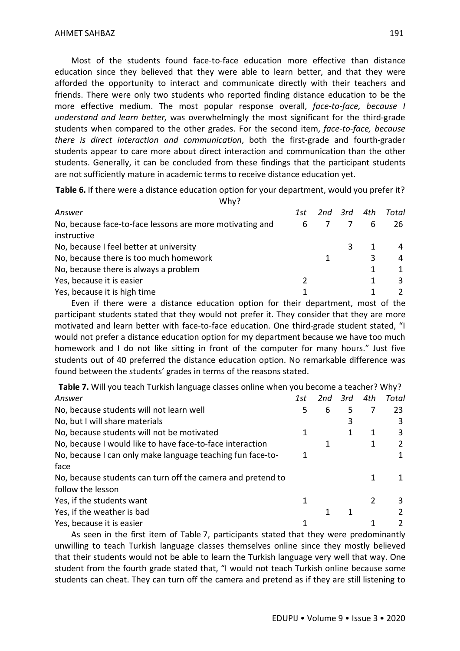Most of the students found face-to-face education more effective than distance education since they believed that they were able to learn better, and that they were afforded the opportunity to interact and communicate directly with their teachers and friends. There were only two students who reported finding distance education to be the more effective medium. The most popular response overall, *face-to-face, because I understand and learn better,* was overwhelmingly the most significant for the third-grade students when compared to the other grades. For the second item, *face-to-face, because there is direct interaction and communication*, both the first-grade and fourth-grader students appear to care more about direct interaction and communication than the other students. Generally, it can be concluded from these findings that the participant students are not sufficiently mature in academic terms to receive distance education yet.

**Table 6.** If there were a distance education option for your department, would you prefer it?

| Why?                                                     |     |         |     |       |
|----------------------------------------------------------|-----|---------|-----|-------|
| Answer                                                   | 1st | 2nd 3rd | 4th | Total |
| No, because face-to-face lessons are more motivating and | 6   |         | -6  | -26   |
| instructive                                              |     |         |     |       |
| No, because I feel better at university                  |     |         |     |       |
| No, because there is too much homework                   |     |         | 3   | 4     |
| No, because there is always a problem                    |     |         |     |       |
| Yes, because it is easier                                |     |         |     | 3     |
| Yes, because it is high time                             |     |         |     |       |

Even if there were a distance education option for their department, most of the participant students stated that they would not prefer it. They consider that they are more motivated and learn better with face-to-face education. One third-grade student stated, "I would not prefer a distance education option for my department because we have too much homework and I do not like sitting in front of the computer for many hours." Just five students out of 40 preferred the distance education option. No remarkable difference was found between the students' grades in terms of the reasons stated.

**Table 7.** Will you teach Turkish language classes online when you become a teacher? Why?

| Answer                                                      | 1st | 2nd | 3rd | 4th | Total |
|-------------------------------------------------------------|-----|-----|-----|-----|-------|
| No, because students will not learn well                    | 5   | 6   | 5   |     | 23    |
| No, but I will share materials                              |     |     | 3   |     | 3     |
| No, because students will not be motivated                  |     |     |     | 1   | 3     |
| No, because I would like to have face-to-face interaction   |     |     |     | 1   |       |
| No, because I can only make language teaching fun face-to-  |     |     |     |     |       |
| face                                                        |     |     |     |     |       |
| No, because students can turn off the camera and pretend to |     |     |     |     |       |
| follow the lesson                                           |     |     |     |     |       |
| Yes, if the students want                                   | 1   |     |     |     | 3     |
| Yes, if the weather is bad                                  |     |     |     |     |       |
| Yes, because it is easier                                   |     |     |     |     |       |

As seen in the first item of Table 7, participants stated that they were predominantly unwilling to teach Turkish language classes themselves online since they mostly believed that their students would not be able to learn the Turkish language very well that way. One student from the fourth grade stated that, "I would not teach Turkish online because some students can cheat. They can turn off the camera and pretend as if they are still listening to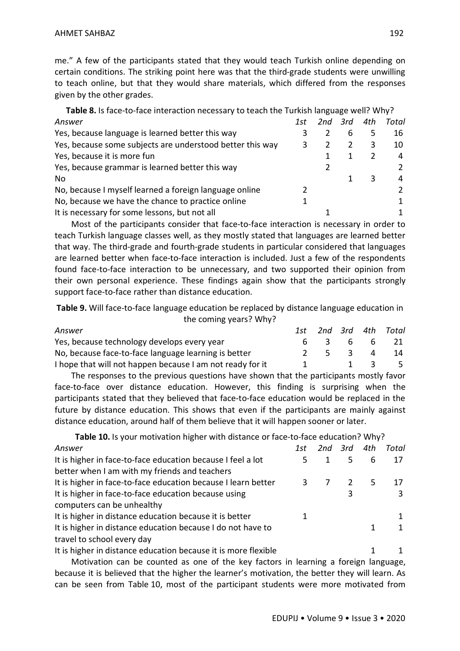me." A few of the participants stated that they would teach Turkish online depending on certain conditions. The striking point here was that the third-grade students were unwilling to teach online, but that they would share materials, which differed from the responses given by the other grades.

| Table 8. Is face-to-face interaction necessary to teach the Turkish language well? Why? |     |             |   |     |       |
|-----------------------------------------------------------------------------------------|-----|-------------|---|-----|-------|
| Answer                                                                                  | 1st | $2nd$ $3rd$ |   | 4th | Total |
| Yes, because language is learned better this way                                        |     |             | 6 | 5.  | 16    |
| Yes, because some subjects are understood better this way                               | 3   | 2           | 2 | 3   | 10    |
| Yes, because it is more fun                                                             |     |             |   | 2   | 4     |
| Yes, because grammar is learned better this way                                         |     |             |   |     |       |
| No.                                                                                     |     |             |   | 3   | 4     |
| No, because I myself learned a foreign language online                                  |     |             |   |     |       |
| No, because we have the chance to practice online                                       |     |             |   |     |       |
| It is necessary for some lessons, but not all                                           |     |             |   |     |       |

Most of the participants consider that face-to-face interaction is necessary in order to teach Turkish language classes well, as they mostly stated that languages are learned better that way. The third-grade and fourth-grade students in particular considered that languages are learned better when face-to-face interaction is included. Just a few of the respondents found face-to-face interaction to be unnecessary, and two supported their opinion from their own personal experience. These findings again show that the participants strongly support face-to-face rather than distance education.

**Table 9.** Will face-to-face language education be replaced by distance language education in the coming years? Why?

| Answer                                                    |   |                             |                                        | 1st 2nd 3rd 4th Total |
|-----------------------------------------------------------|---|-----------------------------|----------------------------------------|-----------------------|
| Yes, because technology develops every year               |   |                             |                                        | 6 3 6 6 21            |
| No, because face-to-face language learning is better      |   | $2 \quad 5 \quad 3 \quad 4$ |                                        | -14                   |
| I hope that will not happen because I am not ready for it | 1 |                             | $\begin{array}{ccc} 1 & 3 \end{array}$ | - 5.                  |

The responses to the previous questions have shown that the participants mostly favor face-to-face over distance education. However, this finding is surprising when the participants stated that they believed that face-to-face education would be replaced in the future by distance education. This shows that even if the participants are mainly against distance education, around half of them believe that it will happen sooner or later.

**Table 10.** Is your motivation higher with distance or face-to-face education? Why?

| Answer                                                         | 1st | 2nd 3rd | 4th | Total |
|----------------------------------------------------------------|-----|---------|-----|-------|
| It is higher in face-to-face education because I feel a lot    | 5   |         | 6   | 17    |
| better when I am with my friends and teachers                  |     |         |     |       |
| It is higher in face-to-face education because I learn better  |     |         | 5.  | 17    |
| It is higher in face-to-face education because using           |     |         |     | 3     |
| computers can be unhealthy                                     |     |         |     |       |
| It is higher in distance education because it is better        |     |         |     |       |
| It is higher in distance education because I do not have to    |     |         | 1   | 1     |
| travel to school every day                                     |     |         |     |       |
| It is higher in distance education because it is more flexible |     |         |     |       |

Motivation can be counted as one of the key factors in learning a foreign language, because it is believed that the higher the learner's motivation, the better they will learn. As can be seen from Table 10, most of the participant students were more motivated from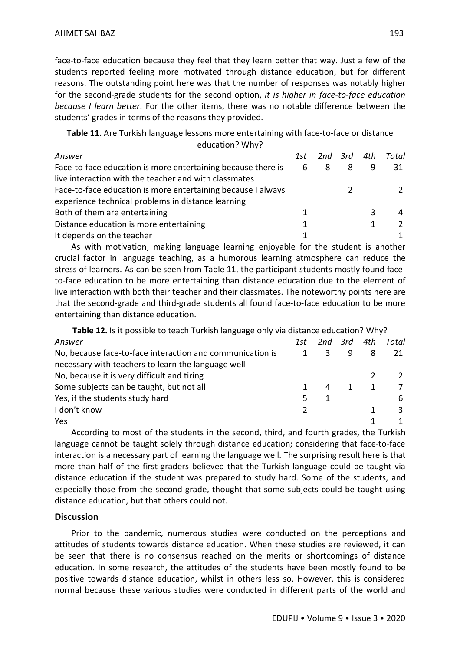face-to-face education because they feel that they learn better that way. Just a few of the students reported feeling more motivated through distance education, but for different reasons. The outstanding point here was that the number of responses was notably higher for the second-grade students for the second option, *it is higher in face-to-face education because I learn better*. For the other items, there was no notable difference between the students' grades in terms of the reasons they provided.

#### **Table 11.** Are Turkish language lessons more entertaining with face-to-face or distance education? Why?

| Answer                                                       | 1st |   | 2nd 3rd 4th |   | Total |
|--------------------------------------------------------------|-----|---|-------------|---|-------|
| Face-to-face education is more entertaining because there is | - 6 | 8 | 8           |   | 31    |
| live interaction with the teacher and with classmates        |     |   |             |   |       |
| Face-to-face education is more entertaining because I always |     |   |             |   |       |
| experience technical problems in distance learning           |     |   |             |   |       |
| Both of them are entertaining                                |     |   |             | 3 |       |
| Distance education is more entertaining                      |     |   |             |   |       |
| It depends on the teacher                                    |     |   |             |   |       |

As with motivation, making language learning enjoyable for the student is another crucial factor in language teaching, as a humorous learning atmosphere can reduce the stress of learners. As can be seen from Table 11, the participant students mostly found faceto-face education to be more entertaining than distance education due to the element of live interaction with both their teacher and their classmates. The noteworthy points here are that the second-grade and third-grade students all found face-to-face education to be more entertaining than distance education.

| Table 12. Is it possible to teach Turkish language only via distance education? Why? |     |             |   |              |       |
|--------------------------------------------------------------------------------------|-----|-------------|---|--------------|-------|
| Answer                                                                               | 1st | $2nd$ $3rd$ |   | 4th          | Total |
| No, because face-to-face interaction and communication is                            |     | 3           | q | 8            | 21    |
| necessary with teachers to learn the language well                                   |     |             |   |              |       |
| No, because it is very difficult and tiring                                          |     |             |   |              |       |
| Some subjects can be taught, but not all                                             |     | 4           |   | $\mathbf{1}$ |       |
| Yes, if the students study hard                                                      | 5   |             |   |              | 6     |
| I don't know                                                                         |     |             |   |              | 3     |
| Yes                                                                                  |     |             |   |              |       |

According to most of the students in the second, third, and fourth grades, the Turkish language cannot be taught solely through distance education; considering that face-to-face interaction is a necessary part of learning the language well. The surprising result here is that more than half of the first-graders believed that the Turkish language could be taught via distance education if the student was prepared to study hard. Some of the students, and especially those from the second grade, thought that some subjects could be taught using distance education, but that others could not.

### **Discussion**

Prior to the pandemic, numerous studies were conducted on the perceptions and attitudes of students towards distance education. When these studies are reviewed, it can be seen that there is no consensus reached on the merits or shortcomings of distance education. In some research, the attitudes of the students have been mostly found to be positive towards distance education, whilst in others less so. However, this is considered normal because these various studies were conducted in different parts of the world and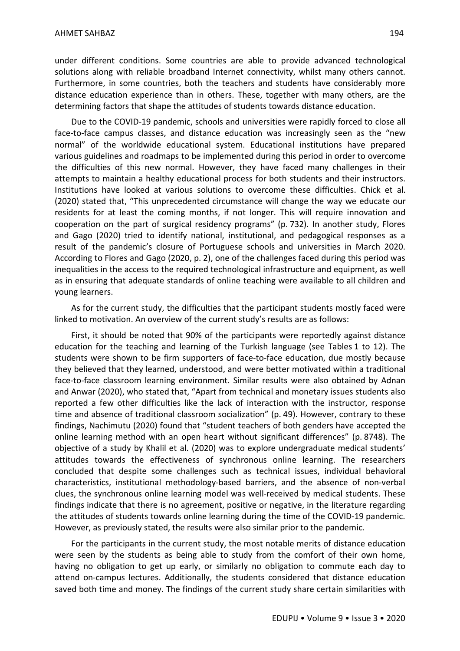under different conditions. Some countries are able to provide advanced technological solutions along with reliable broadband Internet connectivity, whilst many others cannot. Furthermore, in some countries, both the teachers and students have considerably more distance education experience than in others. These, together with many others, are the determining factors that shape the attitudes of students towards distance education.

Due to the COVID-19 pandemic, schools and universities were rapidly forced to close all face-to-face campus classes, and distance education was increasingly seen as the "new normal" of the worldwide educational system. Educational institutions have prepared various guidelines and roadmaps to be implemented during this period in order to overcome the difficulties of this new normal. However, they have faced many challenges in their attempts to maintain a healthy educational process for both students and their instructors. Institutions have looked at various solutions to overcome these difficulties. Chick et al. (2020) stated that, "This unprecedented circumstance will change the way we educate our residents for at least the coming months, if not longer. This will require innovation and cooperation on the part of surgical residency programs" (p. 732). In another study, Flores and Gago (2020) tried to identify national, institutional, and pedagogical responses as a result of the pandemic's closure of Portuguese schools and universities in March 2020. According to Flores and Gago (2020, p. 2), one of the challenges faced during this period was inequalities in the access to the required technological infrastructure and equipment, as well as in ensuring that adequate standards of online teaching were available to all children and young learners.

As for the current study, the difficulties that the participant students mostly faced were linked to motivation. An overview of the current study's results are as follows:

First, it should be noted that 90% of the participants were reportedly against distance education for the teaching and learning of the Turkish language (see Tables 1 to 12). The students were shown to be firm supporters of face-to-face education, due mostly because they believed that they learned, understood, and were better motivated within a traditional face-to-face classroom learning environment. Similar results were also obtained by Adnan and Anwar (2020), who stated that, "Apart from technical and monetary issues students also reported a few other difficulties like the lack of interaction with the instructor, response time and absence of traditional classroom socialization" (p. 49). However, contrary to these findings, Nachimutu (2020) found that "student teachers of both genders have accepted the online learning method with an open heart without significant differences" (p. 8748). The objective of a study by Khalil et al. (2020) was to explore undergraduate medical students' attitudes towards the effectiveness of synchronous online learning. The researchers concluded that despite some challenges such as technical issues, individual behavioral characteristics, institutional methodology-based barriers, and the absence of non-verbal clues, the synchronous online learning model was well-received by medical students. These findings indicate that there is no agreement, positive or negative, in the literature regarding the attitudes of students towards online learning during the time of the COVID-19 pandemic. However, as previously stated, the results were also similar prior to the pandemic.

For the participants in the current study, the most notable merits of distance education were seen by the students as being able to study from the comfort of their own home, having no obligation to get up early, or similarly no obligation to commute each day to attend on-campus lectures. Additionally, the students considered that distance education saved both time and money. The findings of the current study share certain similarities with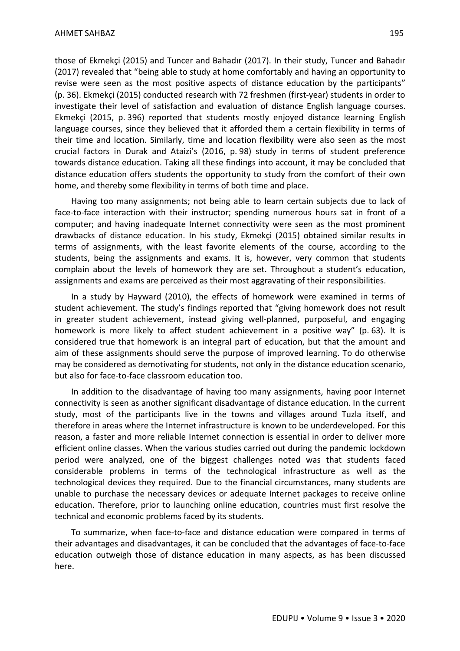those of Ekmekçi (2015) and Tuncer and Bahadır (2017). In their study, Tuncer and Bahadır (2017) revealed that "being able to study at home comfortably and having an opportunity to revise were seen as the most positive aspects of distance education by the participants" (p. 36). Ekmekçi (2015) conducted research with 72 freshmen (first-year) students in order to investigate their level of satisfaction and evaluation of distance English language courses. Ekmekçi (2015, p. 396) reported that students mostly enjoyed distance learning English language courses, since they believed that it afforded them a certain flexibility in terms of their time and location. Similarly, time and location flexibility were also seen as the most crucial factors in Durak and Ataizi's (2016, p. 98) study in terms of student preference towards distance education. Taking all these findings into account, it may be concluded that distance education offers students the opportunity to study from the comfort of their own home, and thereby some flexibility in terms of both time and place.

Having too many assignments; not being able to learn certain subjects due to lack of face-to-face interaction with their instructor; spending numerous hours sat in front of a computer; and having inadequate Internet connectivity were seen as the most prominent drawbacks of distance education. In his study, Ekmekçi (2015) obtained similar results in terms of assignments, with the least favorite elements of the course, according to the students, being the assignments and exams. It is, however, very common that students complain about the levels of homework they are set. Throughout a student's education, assignments and exams are perceived as their most aggravating of their responsibilities.

In a study by Hayward (2010), the effects of homework were examined in terms of student achievement. The study's findings reported that "giving homework does not result in greater student achievement, instead giving well-planned, purposeful, and engaging homework is more likely to affect student achievement in a positive way" (p. 63). It is considered true that homework is an integral part of education, but that the amount and aim of these assignments should serve the purpose of improved learning. To do otherwise may be considered as demotivating for students, not only in the distance education scenario, but also for face-to-face classroom education too.

In addition to the disadvantage of having too many assignments, having poor Internet connectivity is seen as another significant disadvantage of distance education. In the current study, most of the participants live in the towns and villages around Tuzla itself, and therefore in areas where the Internet infrastructure is known to be underdeveloped. For this reason, a faster and more reliable Internet connection is essential in order to deliver more efficient online classes. When the various studies carried out during the pandemic lockdown period were analyzed, one of the biggest challenges noted was that students faced considerable problems in terms of the technological infrastructure as well as the technological devices they required. Due to the financial circumstances, many students are unable to purchase the necessary devices or adequate Internet packages to receive online education. Therefore, prior to launching online education, countries must first resolve the technical and economic problems faced by its students.

To summarize, when face-to-face and distance education were compared in terms of their advantages and disadvantages, it can be concluded that the advantages of face-to-face education outweigh those of distance education in many aspects, as has been discussed here.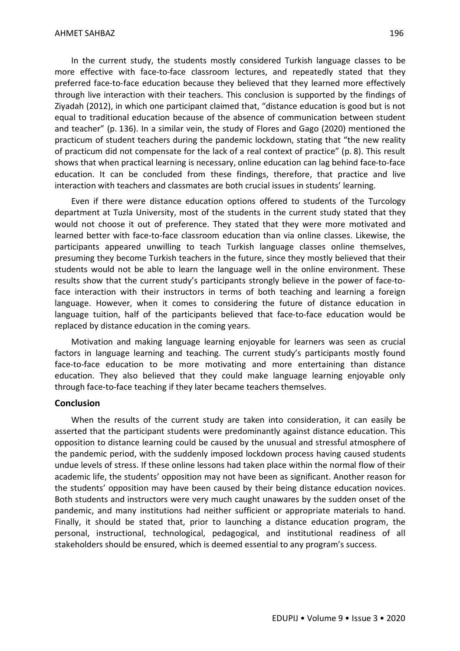In the current study, the students mostly considered Turkish language classes to be more effective with face-to-face classroom lectures, and repeatedly stated that they preferred face-to-face education because they believed that they learned more effectively through live interaction with their teachers. This conclusion is supported by the findings of Ziyadah (2012), in which one participant claimed that, "distance education is good but is not equal to traditional education because of the absence of communication between student and teacher" (p. 136). In a similar vein, the study of Flores and Gago (2020) mentioned the practicum of student teachers during the pandemic lockdown, stating that "the new reality of practicum did not compensate for the lack of a real context of practice" (p. 8). This result shows that when practical learning is necessary, online education can lag behind face-to-face education. It can be concluded from these findings, therefore, that practice and live interaction with teachers and classmates are both crucial issues in students' learning.

Even if there were distance education options offered to students of the Turcology department at Tuzla University, most of the students in the current study stated that they would not choose it out of preference. They stated that they were more motivated and learned better with face-to-face classroom education than via online classes. Likewise, the participants appeared unwilling to teach Turkish language classes online themselves, presuming they become Turkish teachers in the future, since they mostly believed that their students would not be able to learn the language well in the online environment. These results show that the current study's participants strongly believe in the power of face-toface interaction with their instructors in terms of both teaching and learning a foreign language. However, when it comes to considering the future of distance education in language tuition, half of the participants believed that face-to-face education would be replaced by distance education in the coming years.

Motivation and making language learning enjoyable for learners was seen as crucial factors in language learning and teaching. The current study's participants mostly found face-to-face education to be more motivating and more entertaining than distance education. They also believed that they could make language learning enjoyable only through face-to-face teaching if they later became teachers themselves.

### **Conclusion**

When the results of the current study are taken into consideration, it can easily be asserted that the participant students were predominantly against distance education. This opposition to distance learning could be caused by the unusual and stressful atmosphere of the pandemic period, with the suddenly imposed lockdown process having caused students undue levels of stress. If these online lessons had taken place within the normal flow of their academic life, the students' opposition may not have been as significant. Another reason for the students' opposition may have been caused by their being distance education novices. Both students and instructors were very much caught unawares by the sudden onset of the pandemic, and many institutions had neither sufficient or appropriate materials to hand. Finally, it should be stated that, prior to launching a distance education program, the personal, instructional, technological, pedagogical, and institutional readiness of all stakeholders should be ensured, which is deemed essential to any program's success.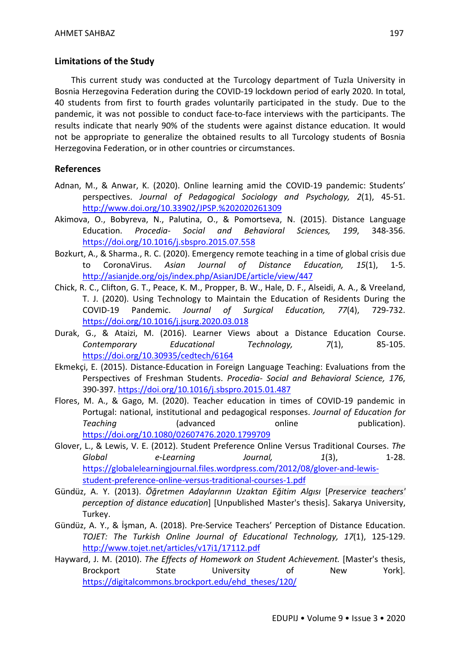### **Limitations of the Study**

This current study was conducted at the Turcology department of Tuzla University in Bosnia Herzegovina Federation during the COVID-19 lockdown period of early 2020. In total, 40 students from first to fourth grades voluntarily participated in the study. Due to the pandemic, it was not possible to conduct face-to-face interviews with the participants. The results indicate that nearly 90% of the students were against distance education. It would not be appropriate to generalize the obtained results to all Turcology students of Bosnia Herzegovina Federation, or in other countries or circumstances.

### **References**

- Adnan, M., & Anwar, K. (2020). Online learning amid the COVID-19 pandemic: Students' perspectives. *Journal of Pedagogical Sociology and Psychology, 2*(1), 45-51. http://www.doi.org/10.33902/JPSP.%202020261309
- Akimova, O., Bobyreva, N., Palutina, O., & Pomortseva, N. (2015). Distance Language Education. *Procedia- Social and Behavioral Sciences, 199*, 348-356. https://doi.org/10.1016/j.sbspro.2015.07.558
- Bozkurt, A., & Sharma., R. C. (2020). Emergency remote teaching in a time of global crisis due to CoronaVirus. *Asian Journal of Distance Education, 15*(1), 1-5. http://asianjde.org/ojs/index.php/AsianJDE/article/view/447
- Chick, R. C., Clifton, G. T., Peace, K. M., Propper, B. W., Hale, D. F., Alseidi, A. A., & Vreeland, T. J. (2020). Using Technology to Maintain the Education of Residents During the COVID-19 Pandemic. *Journal of Surgical Education, 77*(4), 729-732. https://doi.org/10.1016/j.jsurg.2020.03.018
- Durak, G., & Ataizi, M. (2016). Learner Views about a Distance Education Course. *Contemporary Educational Technology, 7*(1), 85-105. https://doi.org/10.30935/cedtech/6164
- Ekmekçi, E. (2015). Distance-Education in Foreign Language Teaching: Evaluations from the Perspectives of Freshman Students. *Procedia- Social and Behavioral Science, 176*, 390-397. https://doi.org/10.1016/j.sbspro.2015.01.487
- Flores, M. A., & Gago, M. (2020). Teacher education in times of COVID-19 pandemic in Portugal: national, institutional and pedagogical responses. *Journal of Education for*  **Teaching** (advanced online publication). https://doi.org/10.1080/02607476.2020.1799709
- Glover, L., & Lewis, V. E. (2012). Student Preference Online Versus Traditional Courses. *The Global e-Learning Journal, 1*(3), 1-28. https://globalelearningjournal.files.wordpress.com/2012/08/glover-and-lewisstudent-preference-online-versus-traditional-courses-1.pdf
- Gündüz, A. Y. (2013). *Öğretmen Adaylarının Uzaktan Eğitim Algısı* [*Preservice teachers' perception of distance education*] [Unpublished Master's thesis]. Sakarya University, Turkey.
- Gündüz, A. Y., & İşman, A. (2018). Pre-Service Teachers' Perception of Distance Education. *TOJET: The Turkish Online Journal of Educational Technology, 17*(1), 125-129. http://www.tojet.net/articles/v17i1/17112.pdf
- Hayward, J. M. (2010). *The Effects of Homework on Student Achievement.* [Master's thesis, Brockport State University of New York]. https://digitalcommons.brockport.edu/ehd\_theses/120/